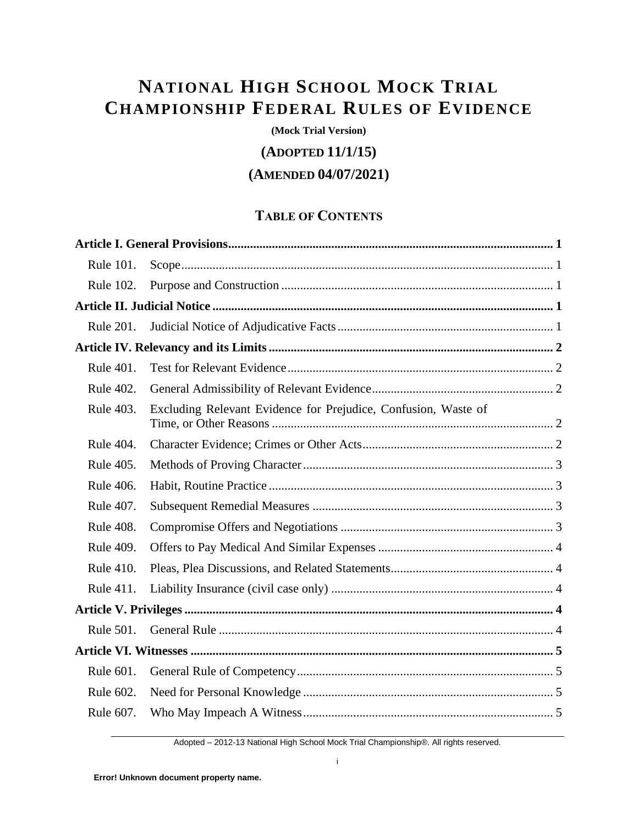# **NATIONAL HIGH SCHOOL MOCK TRIAL CHAMPIONSHIP FEDERAL RULES OF EVIDENCE**

**(Mock Trial Version)**

**(ADOPTED 11/1/15)**

## **(AMENDED 04/07/2021)**

## **TABLE OF CONTENTS**

| <b>Rule 101.</b> |                                                                |  |
|------------------|----------------------------------------------------------------|--|
| Rule 102.        |                                                                |  |
|                  |                                                                |  |
| <b>Rule 201.</b> |                                                                |  |
|                  |                                                                |  |
| Rule 401.        |                                                                |  |
| Rule 402.        |                                                                |  |
| Rule 403.        | Excluding Relevant Evidence for Prejudice, Confusion, Waste of |  |
| Rule 404.        |                                                                |  |
| Rule 405.        |                                                                |  |
| Rule 406.        |                                                                |  |
| Rule 407.        |                                                                |  |
| <b>Rule 408.</b> |                                                                |  |
| Rule 409.        |                                                                |  |
| Rule 410.        |                                                                |  |
| Rule 411.        |                                                                |  |
|                  |                                                                |  |
| <b>Rule 501.</b> |                                                                |  |
|                  |                                                                |  |
| Rule 601.        |                                                                |  |
| Rule 602.        |                                                                |  |
| Rule 607.        |                                                                |  |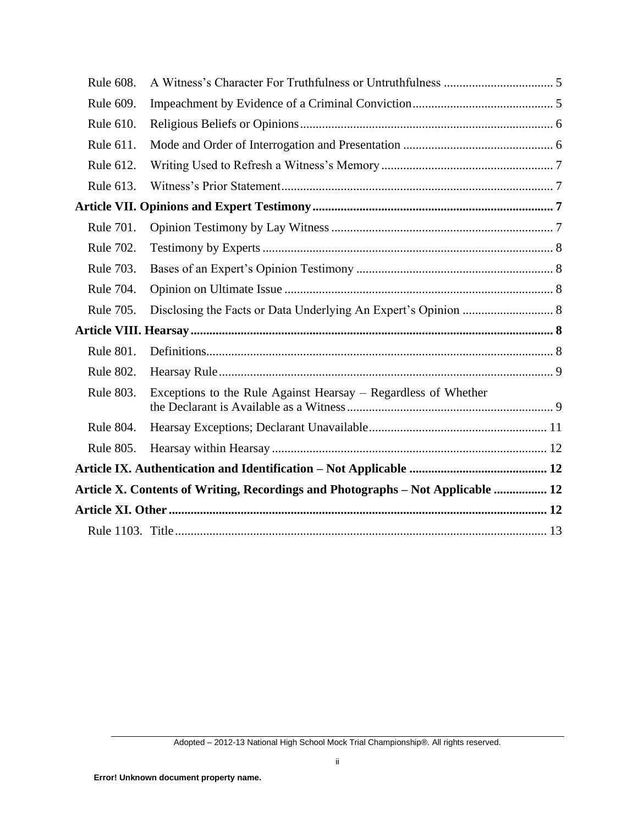| Rule 608.        |                                                                                 |  |
|------------------|---------------------------------------------------------------------------------|--|
| Rule 609.        |                                                                                 |  |
| Rule 610.        |                                                                                 |  |
| Rule 611.        |                                                                                 |  |
| Rule 612.        |                                                                                 |  |
| Rule 613.        |                                                                                 |  |
|                  |                                                                                 |  |
| Rule 701.        |                                                                                 |  |
| Rule 702.        |                                                                                 |  |
| Rule 703.        |                                                                                 |  |
| Rule 704.        |                                                                                 |  |
| Rule 705.        |                                                                                 |  |
|                  |                                                                                 |  |
| <b>Rule 801.</b> |                                                                                 |  |
| Rule 802.        |                                                                                 |  |
| Rule 803.        | Exceptions to the Rule Against Hearsay – Regardless of Whether                  |  |
| <b>Rule 804.</b> |                                                                                 |  |
| <b>Rule 805.</b> |                                                                                 |  |
|                  |                                                                                 |  |
|                  | Article X. Contents of Writing, Recordings and Photographs - Not Applicable  12 |  |
|                  |                                                                                 |  |
|                  |                                                                                 |  |

Adopted – 2012-13 National High School Mock Trial Championship®. All rights reserved.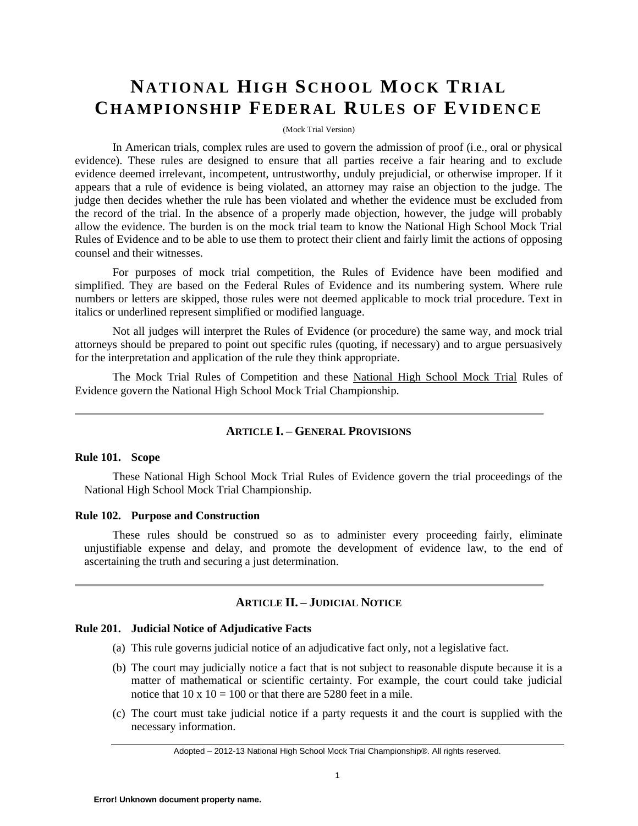# **NA T I O N A L HIGH SC H O O L MO C K TR I A L CH A M P I O N S H I P FE D E R A L RU L E S O F EV I D E N C E**

#### (Mock Trial Version)

In American trials, complex rules are used to govern the admission of proof (i.e., oral or physical evidence). These rules are designed to ensure that all parties receive a fair hearing and to exclude evidence deemed irrelevant, incompetent, untrustworthy, unduly prejudicial, or otherwise improper. If it appears that a rule of evidence is being violated, an attorney may raise an objection to the judge. The judge then decides whether the rule has been violated and whether the evidence must be excluded from the record of the trial. In the absence of a properly made objection, however, the judge will probably allow the evidence. The burden is on the mock trial team to know the National High School Mock Trial Rules of Evidence and to be able to use them to protect their client and fairly limit the actions of opposing counsel and their witnesses.

For purposes of mock trial competition, the Rules of Evidence have been modified and simplified. They are based on the Federal Rules of Evidence and its numbering system. Where rule numbers or letters are skipped, those rules were not deemed applicable to mock trial procedure. Text in italics or underlined represent simplified or modified language.

Not all judges will interpret the Rules of Evidence (or procedure) the same way, and mock trial attorneys should be prepared to point out specific rules (quoting, if necessary) and to argue persuasively for the interpretation and application of the rule they think appropriate.

<span id="page-2-0"></span>The Mock Trial Rules of Competition and these National High School Mock Trial Rules of Evidence govern the National High School Mock Trial Championship.

## **ARTICLE I. – GENERAL PROVISIONS**

#### <span id="page-2-1"></span>**Rule 101. Scope**

These National High School Mock Trial Rules of Evidence govern the trial proceedings of the National High School Mock Trial Championship.

#### <span id="page-2-2"></span>**Rule 102. Purpose and Construction**

<span id="page-2-3"></span>These rules should be construed so as to administer every proceeding fairly, eliminate unjustifiable expense and delay, and promote the development of evidence law, to the end of ascertaining the truth and securing a just determination.

## **ARTICLE II. – JUDICIAL NOTICE**

#### <span id="page-2-4"></span>**Rule 201. Judicial Notice of Adjudicative Facts**

- (a) This rule governs judicial notice of an adjudicative fact only, not a legislative fact.
- (b) The court may judicially notice a fact that is not subject to reasonable dispute because it is a matter of mathematical or scientific certainty. For example, the court could take judicial notice that  $10 \times 10 = 100$  or that there are 5280 feet in a mile.
- (c) The court must take judicial notice if a party requests it and the court is supplied with the necessary information.

Adopted – 2012-13 National High School Mock Trial Championship®. All rights reserved.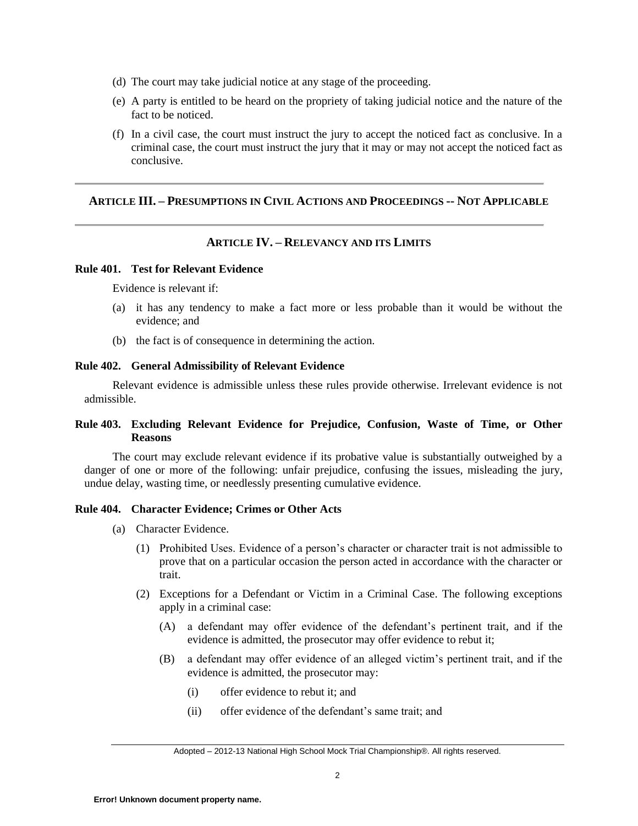- (d) The court may take judicial notice at any stage of the proceeding.
- (e) A party is entitled to be heard on the propriety of taking judicial notice and the nature of the fact to be noticed.
- (f) In a civil case, the court must instruct the jury to accept the noticed fact as conclusive. In a criminal case, the court must instruct the jury that it may or may not accept the noticed fact as conclusive.

## <span id="page-3-0"></span>**ARTICLE III. – PRESUMPTIONS IN CIVIL ACTIONS AND PROCEEDINGS -- NOT APPLICABLE**

## **ARTICLE IV. – RELEVANCY AND ITS LIMITS**

## <span id="page-3-1"></span>**Rule 401. Test for Relevant Evidence**

Evidence is relevant if:

- (a) it has any tendency to make a fact more or less probable than it would be without the evidence; and
- (b) the fact is of consequence in determining the action.

## <span id="page-3-2"></span>**Rule 402. General Admissibility of Relevant Evidence**

Relevant evidence is admissible unless these rules provide otherwise. Irrelevant evidence is not admissible.

## <span id="page-3-3"></span>**Rule 403. Excluding Relevant Evidence for Prejudice, Confusion, Waste of Time, or Other Reasons**

The court may exclude relevant evidence if its probative value is substantially outweighed by a danger of one or more of the following: unfair prejudice, confusing the issues, misleading the jury, undue delay, wasting time, or needlessly presenting cumulative evidence.

#### <span id="page-3-4"></span>**Rule 404. Character Evidence; Crimes or Other Acts**

- (a) Character Evidence.
	- (1) Prohibited Uses. Evidence of a person's character or character trait is not admissible to prove that on a particular occasion the person acted in accordance with the character or trait.
	- (2) Exceptions for a Defendant or Victim in a Criminal Case. The following exceptions apply in a criminal case:
		- (A) a defendant may offer evidence of the defendant's pertinent trait, and if the evidence is admitted, the prosecutor may offer evidence to rebut it;
		- (B) a defendant may offer evidence of an alleged victim's pertinent trait, and if the evidence is admitted, the prosecutor may:
			- (i) offer evidence to rebut it; and
			- (ii) offer evidence of the defendant's same trait; and

Adopted – 2012-13 National High School Mock Trial Championship®. All rights reserved.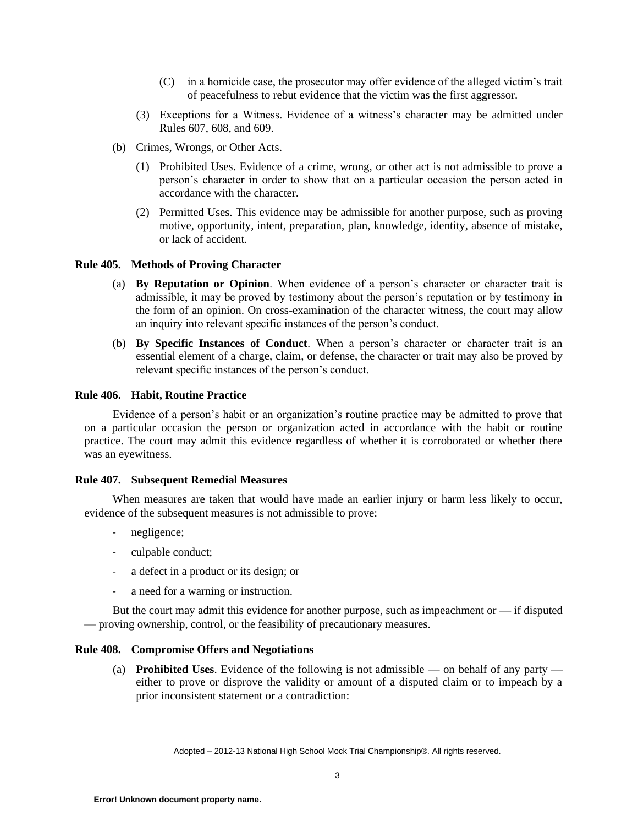- (C) in a homicide case, the prosecutor may offer evidence of the alleged victim's trait of peacefulness to rebut evidence that the victim was the first aggressor.
- (3) Exceptions for a Witness. Evidence of a witness's character may be admitted under Rules 607, 608, and 609.
- (b) Crimes, Wrongs, or Other Acts.
	- (1) Prohibited Uses. Evidence of a crime, wrong, or other act is not admissible to prove a person's character in order to show that on a particular occasion the person acted in accordance with the character.
	- (2) Permitted Uses. This evidence may be admissible for another purpose, such as proving motive, opportunity, intent, preparation, plan, knowledge, identity, absence of mistake, or lack of accident.

## <span id="page-4-0"></span>**Rule 405. Methods of Proving Character**

- (a) **By Reputation or Opinion**. When evidence of a person's character or character trait is admissible, it may be proved by testimony about the person's reputation or by testimony in the form of an opinion. On cross-examination of the character witness, the court may allow an inquiry into relevant specific instances of the person's conduct.
- (b) **By Specific Instances of Conduct**. When a person's character or character trait is an essential element of a charge, claim, or defense, the character or trait may also be proved by relevant specific instances of the person's conduct.

### <span id="page-4-1"></span>**Rule 406. Habit, Routine Practice**

Evidence of a person's habit or an organization's routine practice may be admitted to prove that on a particular occasion the person or organization acted in accordance with the habit or routine practice. The court may admit this evidence regardless of whether it is corroborated or whether there was an eyewitness.

#### <span id="page-4-2"></span>**Rule 407. Subsequent Remedial Measures**

When measures are taken that would have made an earlier injury or harm less likely to occur, evidence of the subsequent measures is not admissible to prove:

- negligence;
- culpable conduct;
- a defect in a product or its design; or
- a need for a warning or instruction.

But the court may admit this evidence for another purpose, such as impeachment or — if disputed — proving ownership, control, or the feasibility of precautionary measures.

#### <span id="page-4-3"></span>**Rule 408. Compromise Offers and Negotiations**

(a) **Prohibited Uses**. Evidence of the following is not admissible — on behalf of any party either to prove or disprove the validity or amount of a disputed claim or to impeach by a prior inconsistent statement or a contradiction:

Adopted – 2012-13 National High School Mock Trial Championship®. All rights reserved.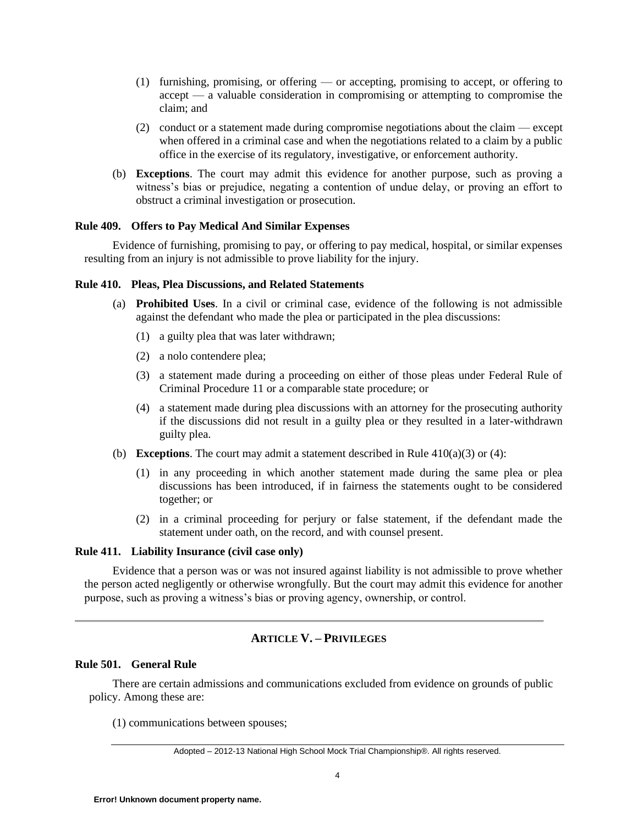- (1) furnishing, promising, or offering or accepting, promising to accept, or offering to accept — a valuable consideration in compromising or attempting to compromise the claim; and
- (2) conduct or a statement made during compromise negotiations about the claim except when offered in a criminal case and when the negotiations related to a claim by a public office in the exercise of its regulatory, investigative, or enforcement authority.
- (b) **Exceptions**. The court may admit this evidence for another purpose, such as proving a witness's bias or prejudice, negating a contention of undue delay, or proving an effort to obstruct a criminal investigation or prosecution.

#### <span id="page-5-0"></span>**Rule 409. Offers to Pay Medical And Similar Expenses**

Evidence of furnishing, promising to pay, or offering to pay medical, hospital, or similar expenses resulting from an injury is not admissible to prove liability for the injury.

#### <span id="page-5-1"></span>**Rule 410. Pleas, Plea Discussions, and Related Statements**

- (a) **Prohibited Uses**. In a civil or criminal case, evidence of the following is not admissible against the defendant who made the plea or participated in the plea discussions:
	- (1) a guilty plea that was later withdrawn;
	- (2) a nolo contendere plea;
	- (3) a statement made during a proceeding on either of those pleas under Federal Rule of Criminal Procedure 11 or a comparable state procedure; or
	- (4) a statement made during plea discussions with an attorney for the prosecuting authority if the discussions did not result in a guilty plea or they resulted in a later-withdrawn guilty plea.
- (b) **Exceptions**. The court may admit a statement described in Rule  $410(a)(3)$  or (4):
	- (1) in any proceeding in which another statement made during the same plea or plea discussions has been introduced, if in fairness the statements ought to be considered together; or
	- (2) in a criminal proceeding for perjury or false statement, if the defendant made the statement under oath, on the record, and with counsel present.

#### <span id="page-5-2"></span>**Rule 411. Liability Insurance (civil case only)**

<span id="page-5-3"></span>Evidence that a person was or was not insured against liability is not admissible to prove whether the person acted negligently or otherwise wrongfully. But the court may admit this evidence for another purpose, such as proving a witness's bias or proving agency, ownership, or control.

## **ARTICLE V. – PRIVILEGES**

#### <span id="page-5-4"></span>**Rule 501. General Rule**

There are certain admissions and communications excluded from evidence on grounds of public policy. Among these are:

(1) communications between spouses;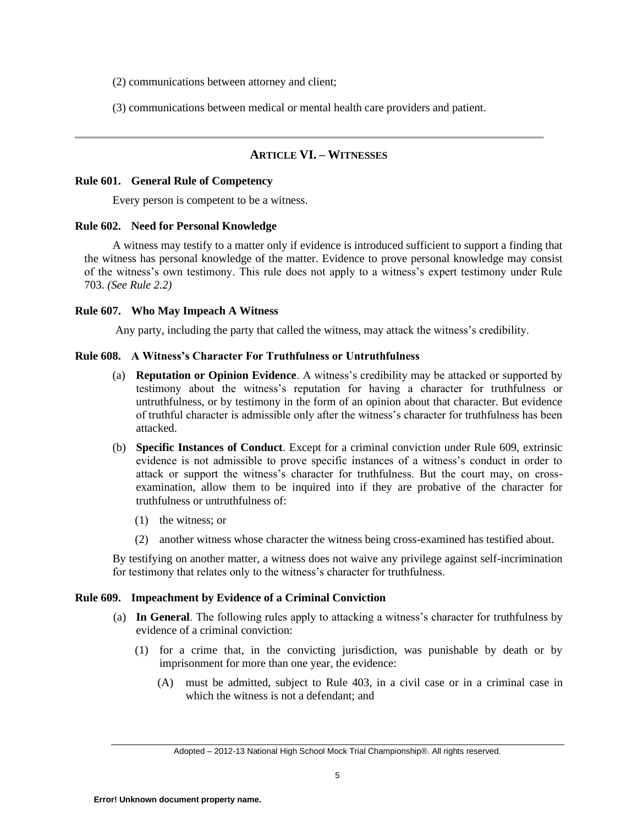- (2) communications between attorney and client;
- <span id="page-6-0"></span>(3) communications between medical or mental health care providers and patient.

## **ARTICLE VI. – WITNESSES**

#### <span id="page-6-1"></span>**Rule 601. General Rule of Competency**

Every person is competent to be a witness.

#### <span id="page-6-2"></span>**Rule 602. Need for Personal Knowledge**

A witness may testify to a matter only if evidence is introduced sufficient to support a finding that the witness has personal knowledge of the matter. Evidence to prove personal knowledge may consist of the witness's own testimony. This rule does not apply to a witness's expert testimony under Rule 703. *(See Rule 2.2)*

#### <span id="page-6-3"></span>**Rule 607. Who May Impeach A Witness**

Any party, including the party that called the witness, may attack the witness's credibility.

### <span id="page-6-4"></span>**Rule 608. A Witness's Character For Truthfulness or Untruthfulness**

- (a) **Reputation or Opinion Evidence**. A witness's credibility may be attacked or supported by testimony about the witness's reputation for having a character for truthfulness or untruthfulness, or by testimony in the form of an opinion about that character. But evidence of truthful character is admissible only after the witness's character for truthfulness has been attacked.
- (b) **Specific Instances of Conduct**. Except for a criminal conviction under Rule 609, extrinsic evidence is not admissible to prove specific instances of a witness's conduct in order to attack or support the witness's character for truthfulness. But the court may, on crossexamination, allow them to be inquired into if they are probative of the character for truthfulness or untruthfulness of:
	- (1) the witness; or
	- (2) another witness whose character the witness being cross-examined has testified about.

By testifying on another matter, a witness does not waive any privilege against self-incrimination for testimony that relates only to the witness's character for truthfulness.

#### <span id="page-6-5"></span>**Rule 609. Impeachment by Evidence of a Criminal Conviction**

- (a) **In General**. The following rules apply to attacking a witness's character for truthfulness by evidence of a criminal conviction:
	- (1) for a crime that, in the convicting jurisdiction, was punishable by death or by imprisonment for more than one year, the evidence:
		- (A) must be admitted, subject to Rule 403, in a civil case or in a criminal case in which the witness is not a defendant; and

Adopted – 2012-13 National High School Mock Trial Championship®. All rights reserved.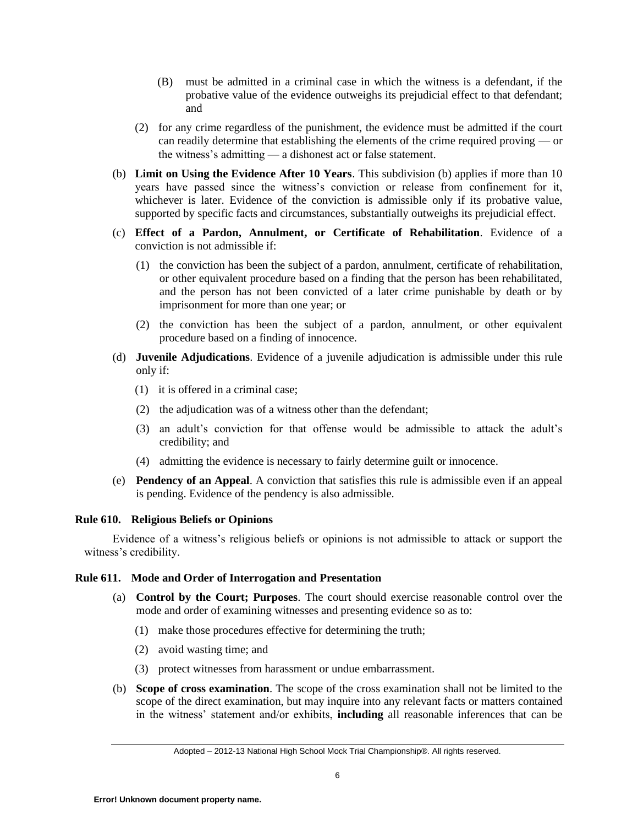- (B) must be admitted in a criminal case in which the witness is a defendant, if the probative value of the evidence outweighs its prejudicial effect to that defendant; and
- (2) for any crime regardless of the punishment, the evidence must be admitted if the court can readily determine that establishing the elements of the crime required proving — or the witness's admitting — a dishonest act or false statement.
- (b) **Limit on Using the Evidence After 10 Years**. This subdivision (b) applies if more than 10 years have passed since the witness's conviction or release from confinement for it, whichever is later. Evidence of the conviction is admissible only if its probative value, supported by specific facts and circumstances, substantially outweighs its prejudicial effect.
- (c) **Effect of a Pardon, Annulment, or Certificate of Rehabilitation**. Evidence of a conviction is not admissible if:
	- (1) the conviction has been the subject of a pardon, annulment, certificate of rehabilitation, or other equivalent procedure based on a finding that the person has been rehabilitated, and the person has not been convicted of a later crime punishable by death or by imprisonment for more than one year; or
	- (2) the conviction has been the subject of a pardon, annulment, or other equivalent procedure based on a finding of innocence.
- (d) **Juvenile Adjudications**. Evidence of a juvenile adjudication is admissible under this rule only if:
	- (1) it is offered in a criminal case;
	- (2) the adjudication was of a witness other than the defendant;
	- (3) an adult's conviction for that offense would be admissible to attack the adult's credibility; and
	- (4) admitting the evidence is necessary to fairly determine guilt or innocence.
- (e) **Pendency of an Appeal**. A conviction that satisfies this rule is admissible even if an appeal is pending. Evidence of the pendency is also admissible.

## <span id="page-7-0"></span>**Rule 610. Religious Beliefs or Opinions**

Evidence of a witness's religious beliefs or opinions is not admissible to attack or support the witness's credibility.

#### <span id="page-7-1"></span>**Rule 611. Mode and Order of Interrogation and Presentation**

- (a) **Control by the Court; Purposes**. The court should exercise reasonable control over the mode and order of examining witnesses and presenting evidence so as to:
	- (1) make those procedures effective for determining the truth;
	- (2) avoid wasting time; and
	- (3) protect witnesses from harassment or undue embarrassment.
- (b) **Scope of cross examination**. The scope of the cross examination shall not be limited to the scope of the direct examination, but may inquire into any relevant facts or matters contained in the witness' statement and/or exhibits, **including** all reasonable inferences that can be

Adopted – 2012-13 National High School Mock Trial Championship®. All rights reserved.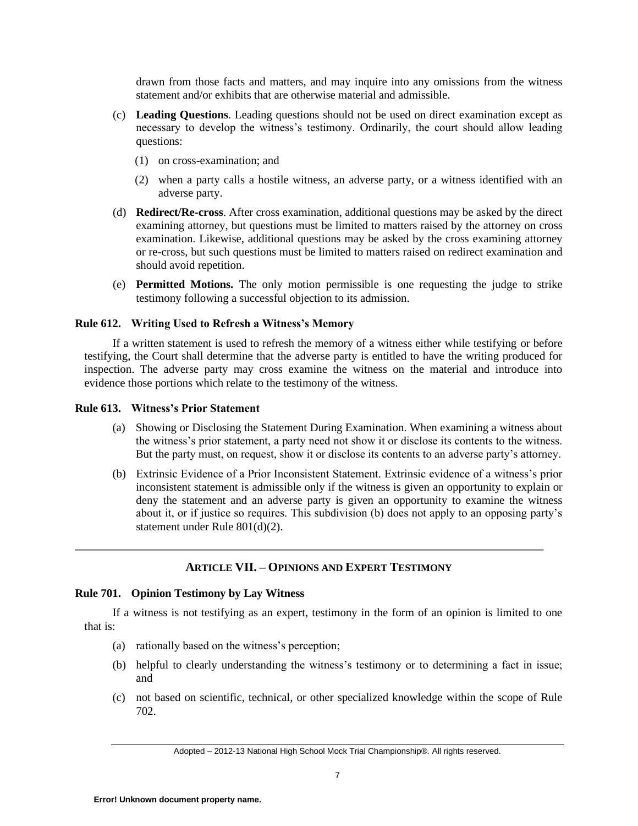drawn from those facts and matters, and may inquire into any omissions from the witness statement and/or exhibits that are otherwise material and admissible.

- (c) **Leading Questions**. Leading questions should not be used on direct examination except as necessary to develop the witness's testimony. Ordinarily, the court should allow leading questions:
	- (1) on cross-examination; and
	- (2) when a party calls a hostile witness, an adverse party, or a witness identified with an adverse party.
- (d) **Redirect/Re-cross**. After cross examination, additional questions may be asked by the direct examining attorney, but questions must be limited to matters raised by the attorney on cross examination. Likewise, additional questions may be asked by the cross examining attorney or re-cross, but such questions must be limited to matters raised on redirect examination and should avoid repetition.
- (e) **Permitted Motions.** The only motion permissible is one requesting the judge to strike testimony following a successful objection to its admission.

## <span id="page-8-0"></span>**Rule 612. Writing Used to Refresh a Witness's Memory**

If a written statement is used to refresh the memory of a witness either while testifying or before testifying, the Court shall determine that the adverse party is entitled to have the writing produced for inspection. The adverse party may cross examine the witness on the material and introduce into evidence those portions which relate to the testimony of the witness.

#### <span id="page-8-1"></span>**Rule 613. Witness's Prior Statement**

- (a) Showing or Disclosing the Statement During Examination. When examining a witness about the witness's prior statement, a party need not show it or disclose its contents to the witness. But the party must, on request, show it or disclose its contents to an adverse party's attorney.
- (b) Extrinsic Evidence of a Prior Inconsistent Statement. Extrinsic evidence of a witness's prior inconsistent statement is admissible only if the witness is given an opportunity to explain or deny the statement and an adverse party is given an opportunity to examine the witness about it, or if justice so requires. This subdivision (b) does not apply to an opposing party's statement under Rule 801(d)(2).

## **ARTICLE VII. – OPINIONS AND EXPERT TESTIMONY**

#### <span id="page-8-3"></span><span id="page-8-2"></span>**Rule 701. Opinion Testimony by Lay Witness**

If a witness is not testifying as an expert, testimony in the form of an opinion is limited to one that is:

- (a) rationally based on the witness's perception;
- (b) helpful to clearly understanding the witness's testimony or to determining a fact in issue; and
- (c) not based on scientific, technical, or other specialized knowledge within the scope of Rule 702.

Adopted – 2012-13 National High School Mock Trial Championship®. All rights reserved.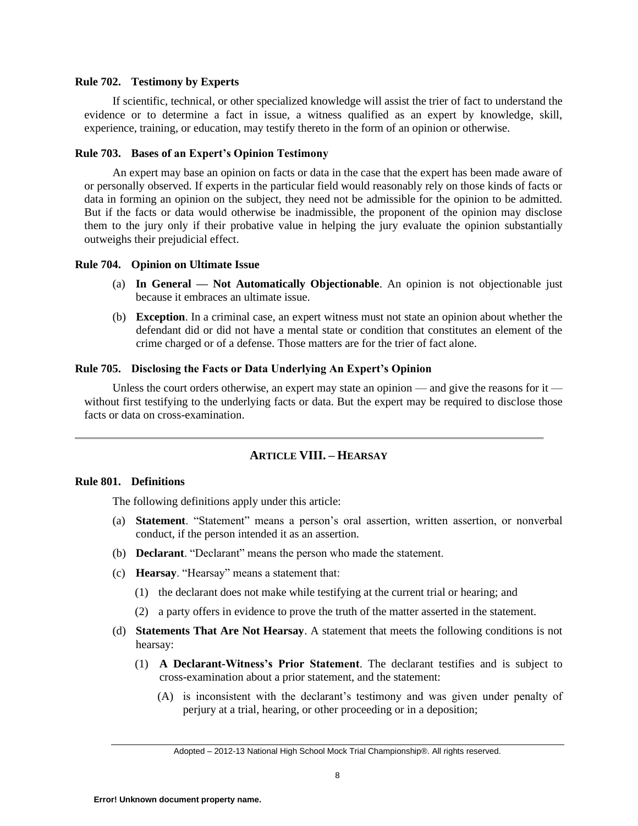#### <span id="page-9-0"></span>**Rule 702. Testimony by Experts**

If scientific, technical, or other specialized knowledge will assist the trier of fact to understand the evidence or to determine a fact in issue, a witness qualified as an expert by knowledge, skill, experience, training, or education, may testify thereto in the form of an opinion or otherwise.

#### <span id="page-9-1"></span>**Rule 703. Bases of an Expert's Opinion Testimony**

An expert may base an opinion on facts or data in the case that the expert has been made aware of or personally observed. If experts in the particular field would reasonably rely on those kinds of facts or data in forming an opinion on the subject, they need not be admissible for the opinion to be admitted. But if the facts or data would otherwise be inadmissible, the proponent of the opinion may disclose them to the jury only if their probative value in helping the jury evaluate the opinion substantially outweighs their prejudicial effect.

#### <span id="page-9-2"></span>**Rule 704. Opinion on Ultimate Issue**

- (a) **In General — Not Automatically Objectionable**. An opinion is not objectionable just because it embraces an ultimate issue.
- (b) **Exception**. In a criminal case, an expert witness must not state an opinion about whether the defendant did or did not have a mental state or condition that constitutes an element of the crime charged or of a defense. Those matters are for the trier of fact alone.

#### <span id="page-9-3"></span>**Rule 705. Disclosing the Facts or Data Underlying An Expert's Opinion**

<span id="page-9-4"></span>Unless the court orders otherwise, an expert may state an opinion — and give the reasons for it without first testifying to the underlying facts or data. But the expert may be required to disclose those facts or data on cross-examination.

## **ARTICLE VIII. – HEARSAY**

## <span id="page-9-5"></span>**Rule 801. Definitions**

The following definitions apply under this article:

- (a) **Statement**. "Statement" means a person's oral assertion, written assertion, or nonverbal conduct, if the person intended it as an assertion.
- (b) **Declarant**. "Declarant" means the person who made the statement.
- (c) **Hearsay**. "Hearsay" means a statement that:
	- (1) the declarant does not make while testifying at the current trial or hearing; and
	- (2) a party offers in evidence to prove the truth of the matter asserted in the statement.
- (d) **Statements That Are Not Hearsay**. A statement that meets the following conditions is not hearsay:
	- (1) **A Declarant-Witness's Prior Statement**. The declarant testifies and is subject to cross-examination about a prior statement, and the statement:
		- (A) is inconsistent with the declarant's testimony and was given under penalty of perjury at a trial, hearing, or other proceeding or in a deposition;

Adopted – 2012-13 National High School Mock Trial Championship®. All rights reserved.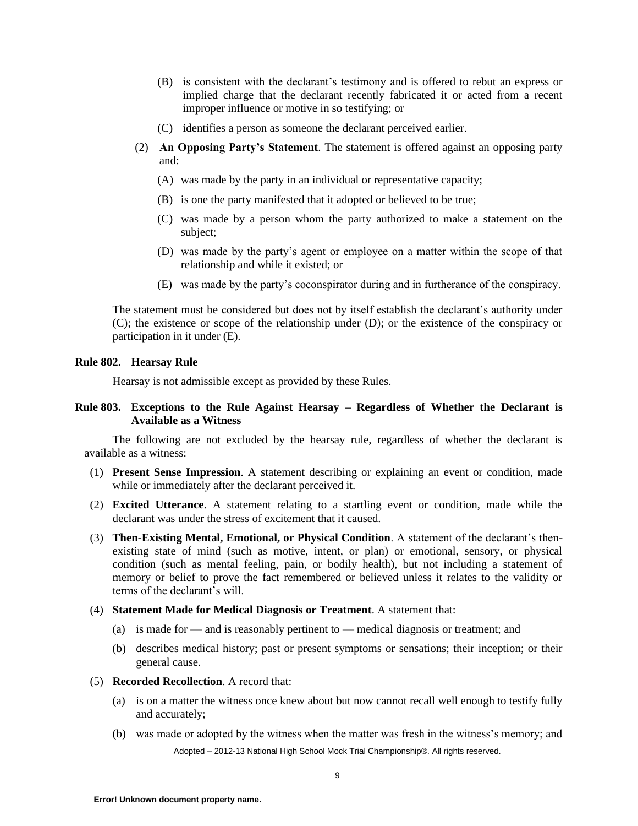- (B) is consistent with the declarant's testimony and is offered to rebut an express or implied charge that the declarant recently fabricated it or acted from a recent improper influence or motive in so testifying; or
- (C) identifies a person as someone the declarant perceived earlier.
- (2) **An Opposing Party's Statement**. The statement is offered against an opposing party and:
	- (A) was made by the party in an individual or representative capacity;
	- (B) is one the party manifested that it adopted or believed to be true;
	- (C) was made by a person whom the party authorized to make a statement on the subject;
	- (D) was made by the party's agent or employee on a matter within the scope of that relationship and while it existed; or
	- (E) was made by the party's coconspirator during and in furtherance of the conspiracy.

The statement must be considered but does not by itself establish the declarant's authority under (C); the existence or scope of the relationship under (D); or the existence of the conspiracy or participation in it under (E).

### <span id="page-10-0"></span>**Rule 802. Hearsay Rule**

Hearsay is not admissible except as provided by these Rules.

## <span id="page-10-1"></span>**Rule 803. Exceptions to the Rule Against Hearsay – Regardless of Whether the Declarant is Available as a Witness**

The following are not excluded by the hearsay rule, regardless of whether the declarant is available as a witness:

- (1) **Present Sense Impression**. A statement describing or explaining an event or condition, made while or immediately after the declarant perceived it.
- (2) **Excited Utterance**. A statement relating to a startling event or condition, made while the declarant was under the stress of excitement that it caused.
- (3) **Then-Existing Mental, Emotional, or Physical Condition**. A statement of the declarant's thenexisting state of mind (such as motive, intent, or plan) or emotional, sensory, or physical condition (such as mental feeling, pain, or bodily health), but not including a statement of memory or belief to prove the fact remembered or believed unless it relates to the validity or terms of the declarant's will.
- (4) **Statement Made for Medical Diagnosis or Treatment**. A statement that:
	- (a) is made for and is reasonably pertinent to medical diagnosis or treatment; and
	- (b) describes medical history; past or present symptoms or sensations; their inception; or their general cause.

#### (5) **Recorded Recollection**. A record that:

- (a) is on a matter the witness once knew about but now cannot recall well enough to testify fully and accurately;
- (b) was made or adopted by the witness when the matter was fresh in the witness's memory; and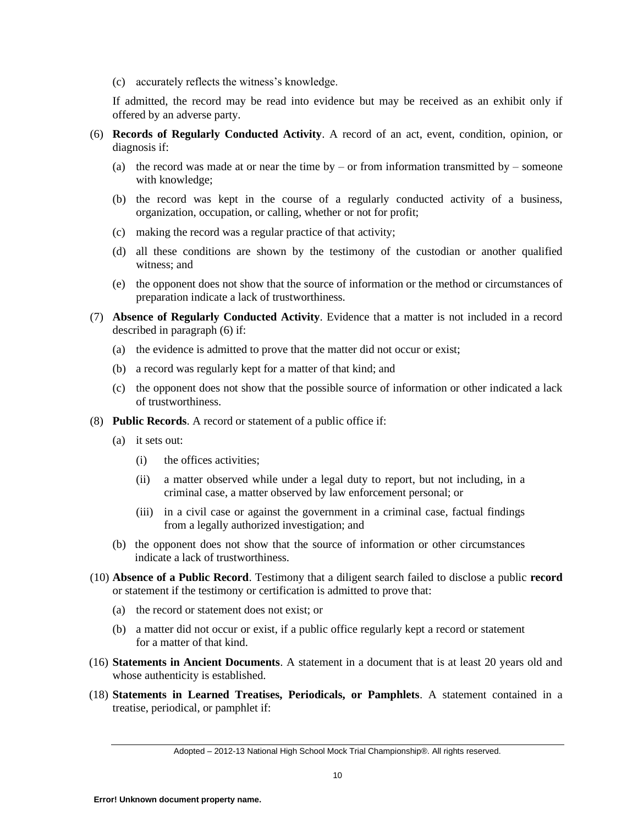(c) accurately reflects the witness's knowledge.

If admitted, the record may be read into evidence but may be received as an exhibit only if offered by an adverse party.

- (6) **Records of Regularly Conducted Activity**. A record of an act, event, condition, opinion, or diagnosis if:
	- (a) the record was made at or near the time by or from information transmitted by someone with knowledge;
	- (b) the record was kept in the course of a regularly conducted activity of a business, organization, occupation, or calling, whether or not for profit;
	- (c) making the record was a regular practice of that activity;
	- (d) all these conditions are shown by the testimony of the custodian or another qualified witness; and
	- (e) the opponent does not show that the source of information or the method or circumstances of preparation indicate a lack of trustworthiness.
- (7) **Absence of Regularly Conducted Activity**. Evidence that a matter is not included in a record described in paragraph (6) if:
	- (a) the evidence is admitted to prove that the matter did not occur or exist;
	- (b) a record was regularly kept for a matter of that kind; and
	- (c) the opponent does not show that the possible source of information or other indicated a lack of trustworthiness.
- (8) **Public Records**. A record or statement of a public office if:
	- (a) it sets out:
		- (i) the offices activities;
		- (ii) a matter observed while under a legal duty to report, but not including, in a criminal case, a matter observed by law enforcement personal; or
		- (iii) in a civil case or against the government in a criminal case, factual findings from a legally authorized investigation; and
	- (b) the opponent does not show that the source of information or other circumstances indicate a lack of trustworthiness.
- (10) **Absence of a Public Record**. Testimony that a diligent search failed to disclose a public **record** or statement if the testimony or certification is admitted to prove that:
	- (a) the record or statement does not exist; or
	- (b) a matter did not occur or exist, if a public office regularly kept a record or statement for a matter of that kind.
- (16) **Statements in Ancient Documents**. A statement in a document that is at least 20 years old and whose authenticity is established.
- (18) **Statements in Learned Treatises, Periodicals, or Pamphlets**. A statement contained in a treatise, periodical, or pamphlet if:

Adopted – 2012-13 National High School Mock Trial Championship®. All rights reserved.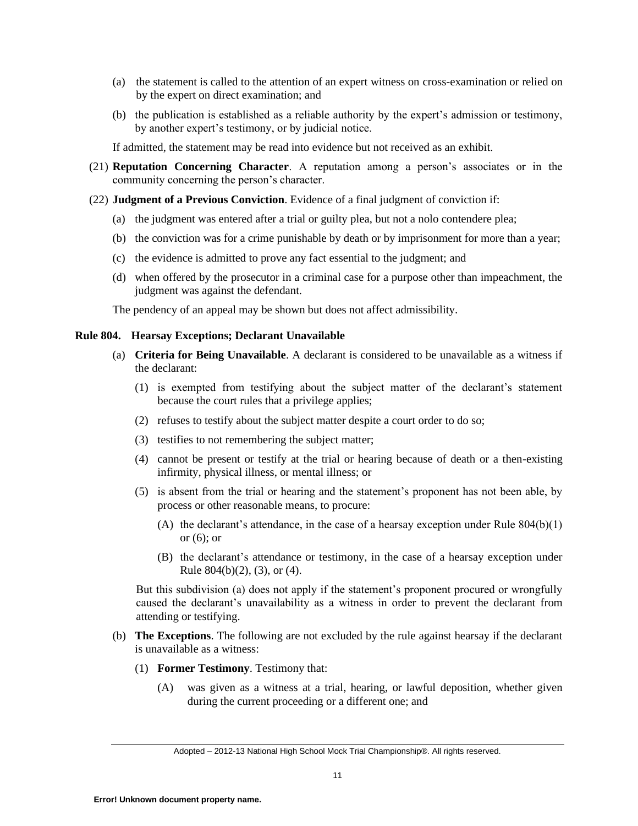- (a) the statement is called to the attention of an expert witness on cross-examination or relied on by the expert on direct examination; and
- (b) the publication is established as a reliable authority by the expert's admission or testimony, by another expert's testimony, or by judicial notice.

If admitted, the statement may be read into evidence but not received as an exhibit.

- (21) **Reputation Concerning Character**. A reputation among a person's associates or in the community concerning the person's character.
- (22) **Judgment of a Previous Conviction**. Evidence of a final judgment of conviction if:
	- (a) the judgment was entered after a trial or guilty plea, but not a nolo contendere plea;
	- (b) the conviction was for a crime punishable by death or by imprisonment for more than a year;
	- (c) the evidence is admitted to prove any fact essential to the judgment; and
	- (d) when offered by the prosecutor in a criminal case for a purpose other than impeachment, the judgment was against the defendant.

The pendency of an appeal may be shown but does not affect admissibility.

#### <span id="page-12-0"></span>**Rule 804. Hearsay Exceptions; Declarant Unavailable**

- (a) **Criteria for Being Unavailable**. A declarant is considered to be unavailable as a witness if the declarant:
	- (1) is exempted from testifying about the subject matter of the declarant's statement because the court rules that a privilege applies;
	- (2) refuses to testify about the subject matter despite a court order to do so;
	- (3) testifies to not remembering the subject matter;
	- (4) cannot be present or testify at the trial or hearing because of death or a then-existing infirmity, physical illness, or mental illness; or
	- (5) is absent from the trial or hearing and the statement's proponent has not been able, by process or other reasonable means, to procure:
		- (A) the declarant's attendance, in the case of a hearsay exception under Rule  $804(b)(1)$ or (6); or
		- (B) the declarant's attendance or testimony, in the case of a hearsay exception under Rule 804(b)(2), (3), or (4).

But this subdivision (a) does not apply if the statement's proponent procured or wrongfully caused the declarant's unavailability as a witness in order to prevent the declarant from attending or testifying.

- (b) **The Exceptions**. The following are not excluded by the rule against hearsay if the declarant is unavailable as a witness:
	- (1) **Former Testimony**. Testimony that:
		- (A) was given as a witness at a trial, hearing, or lawful deposition, whether given during the current proceeding or a different one; and

Adopted – 2012-13 National High School Mock Trial Championship®. All rights reserved.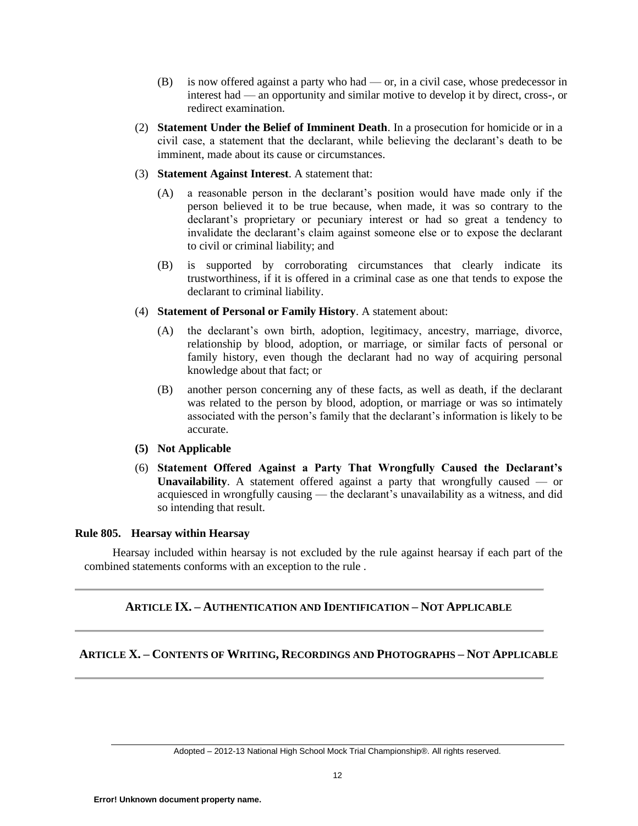- (B) is now offered against a party who had or, in a civil case, whose predecessor in interest had — an opportunity and similar motive to develop it by direct, cross-, or redirect examination.
- (2) **Statement Under the Belief of Imminent Death**. In a prosecution for homicide or in a civil case, a statement that the declarant, while believing the declarant's death to be imminent, made about its cause or circumstances.
- (3) **Statement Against Interest**. A statement that:
	- (A) a reasonable person in the declarant's position would have made only if the person believed it to be true because, when made, it was so contrary to the declarant's proprietary or pecuniary interest or had so great a tendency to invalidate the declarant's claim against someone else or to expose the declarant to civil or criminal liability; and
	- (B) is supported by corroborating circumstances that clearly indicate its trustworthiness, if it is offered in a criminal case as one that tends to expose the declarant to criminal liability.
- (4) **Statement of Personal or Family History**. A statement about:
	- (A) the declarant's own birth, adoption, legitimacy, ancestry, marriage, divorce, relationship by blood, adoption, or marriage, or similar facts of personal or family history, even though the declarant had no way of acquiring personal knowledge about that fact; or
	- (B) another person concerning any of these facts, as well as death, if the declarant was related to the person by blood, adoption, or marriage or was so intimately associated with the person's family that the declarant's information is likely to be accurate.
- **(5) Not Applicable**
- (6) **Statement Offered Against a Party That Wrongfully Caused the Declarant's Unavailability**. A statement offered against a party that wrongfully caused — or acquiesced in wrongfully causing — the declarant's unavailability as a witness, and did so intending that result.

## <span id="page-13-0"></span>**Rule 805. Hearsay within Hearsay**

<span id="page-13-1"></span>Hearsay included within hearsay is not excluded by the rule against hearsay if each part of the combined statements conforms with an exception to the rule .

## **ARTICLE IX. – AUTHENTICATION AND IDENTIFICATION – NOT APPLICABLE**

## <span id="page-13-3"></span><span id="page-13-2"></span>**ARTICLE X. – CONTENTS OF WRITING, RECORDINGS AND PHOTOGRAPHS – NOT APPLICABLE**